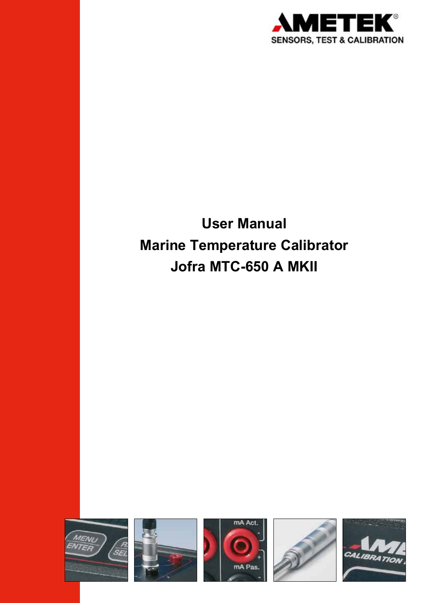

# **User Manual Marine Temperature Calibrator Jofra MTC-650 A MKII**

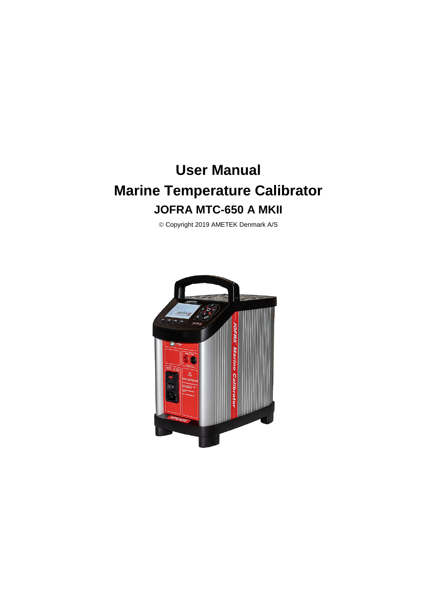# **User Manual Marine Temperature Calibrator JOFRA MTC-650 A MKII**

Copyright 2019 AMETEK Denmark A/S

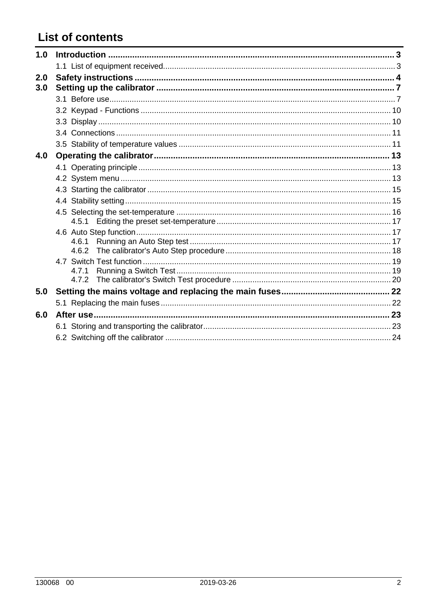# **List of contents**

| 1.0 |       |  |
|-----|-------|--|
|     |       |  |
| 2.0 |       |  |
| 3.0 |       |  |
|     |       |  |
|     |       |  |
|     |       |  |
|     |       |  |
|     |       |  |
| 4.0 |       |  |
|     |       |  |
|     |       |  |
|     |       |  |
|     |       |  |
|     |       |  |
|     |       |  |
|     |       |  |
|     | 4.6.1 |  |
|     | 4.6.2 |  |
|     | 4.7.1 |  |
|     |       |  |
| 5.0 |       |  |
|     |       |  |
| 6.0 |       |  |
|     |       |  |
|     |       |  |
|     |       |  |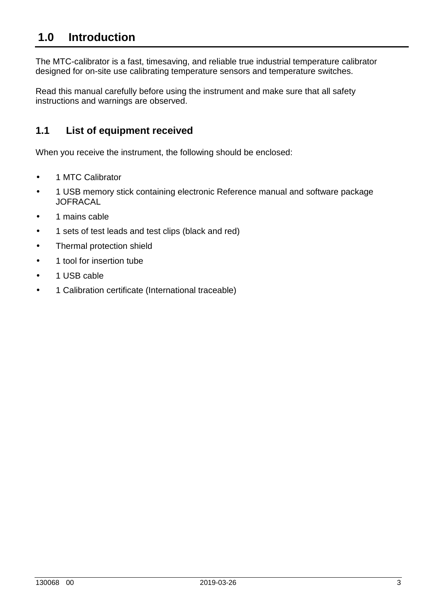# **1.0 Introduction**

The MTC-calibrator is a fast, timesaving, and reliable true industrial temperature calibrator designed for on-site use calibrating temperature sensors and temperature switches.

Read this manual carefully before using the instrument and make sure that all safety instructions and warnings are observed.

### **1.1 List of equipment received**

When you receive the instrument, the following should be enclosed:

- 1 MTC Calibrator
- 1 USB memory stick containing electronic Reference manual and software package **JOFRACAL**
- 1 mains cable
- 1 sets of test leads and test clips (black and red)
- Thermal protection shield
- 1 tool for insertion tube
- 1 USB cable
- 1 Calibration certificate (International traceable)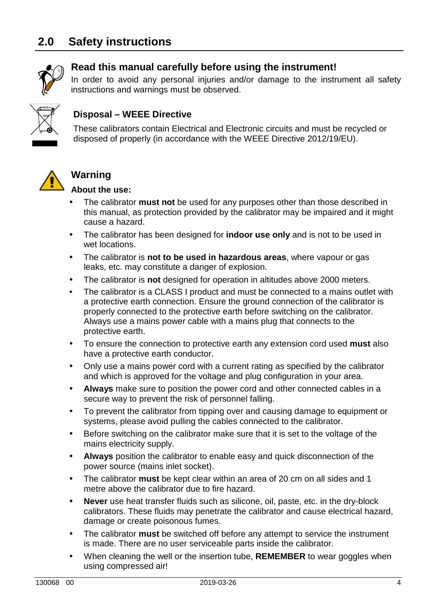# **2.0 Safety instructions**



### **Read this manual carefully before using the instrument!**

In order to avoid any personal injuries and/or damage to the instrument all safety instructions and warnings must be observed.



### **Disposal – WEEE Directive**

These calibrators contain Electrical and Electronic circuits and must be recycled or disposed of properly (in accordance with the WEEE Directive 2012/19/EU).



### **Warning**

#### **About the use:**

- The calibrator **must not** be used for any purposes other than those described in this manual, as protection provided by the calibrator may be impaired and it might cause a hazard.
- The calibrator has been designed for **indoor use only** and is not to be used in wet locations.
- The calibrator is **not to be used in hazardous areas**, where vapour or gas leaks, etc. may constitute a danger of explosion.
- The calibrator is **not** designed for operation in altitudes above 2000 meters.
- The calibrator is a CLASS I product and must be connected to a mains outlet with a protective earth connection. Ensure the ground connection of the calibrator is properly connected to the protective earth before switching on the calibrator. Always use a mains power cable with a mains plug that connects to the protective earth.
- To ensure the connection to protective earth any extension cord used **must** also have a protective earth conductor.
- Only use a mains power cord with a current rating as specified by the calibrator and which is approved for the voltage and plug configuration in your area.
- **Always** make sure to position the power cord and other connected cables in a secure way to prevent the risk of personnel falling.
- To prevent the calibrator from tipping over and causing damage to equipment or systems, please avoid pulling the cables connected to the calibrator.
- Before switching on the calibrator make sure that it is set to the voltage of the mains electricity supply.
- **Always** position the calibrator to enable easy and quick disconnection of the power source (mains inlet socket).
- The calibrator **must** be kept clear within an area of 20 cm on all sides and 1 metre above the calibrator due to fire hazard.
- **Never** use heat transfer fluids such as silicone, oil, paste, etc. in the dry-block calibrators. These fluids may penetrate the calibrator and cause electrical hazard, damage or create poisonous fumes.
- The calibrator **must** be switched off before any attempt to service the instrument is made. There are no user serviceable parts inside the calibrator.
- When cleaning the well or the insertion tube, **REMEMBER** to wear goggles when using compressed air!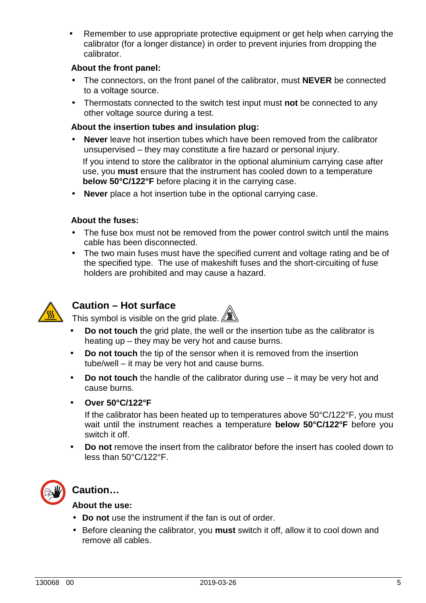Remember to use appropriate protective equipment or get help when carrying the calibrator (for a longer distance) in order to prevent injuries from dropping the calibrator.

#### **About the front panel:**

- The connectors, on the front panel of the calibrator, must **NEVER** be connected to a voltage source.
- Thermostats connected to the switch test input must **not** be connected to any other voltage source during a test.

#### **About the insertion tubes and insulation plug:**

- **Never** leave hot insertion tubes which have been removed from the calibrator unsupervised – they may constitute a fire hazard or personal injury. If you intend to store the calibrator in the optional aluminium carrying case after use, you **must** ensure that the instrument has cooled down to a temperature **below 50°C/122°F** before placing it in the carrying case.
- **Never** place a hot insertion tube in the optional carrying case.

#### **About the fuses:**

- The fuse box must not be removed from the power control switch until the mains cable has been disconnected.
- The two main fuses must have the specified current and voltage rating and be of the specified type. The use of makeshift fuses and the short-circuiting of fuse holders are prohibited and may cause a hazard.



### **Caution – Hot surface**



- **Do not touch** the grid plate, the well or the insertion tube as the calibrator is heating up – they may be very hot and cause burns.
- **Do not touch** the tip of the sensor when it is removed from the insertion tube/well – it may be very hot and cause burns.
- **Do not touch** the handle of the calibrator during use it may be very hot and cause burns.
- **Over 50°C/122°F**

If the calibrator has been heated up to temperatures above 50°C/122°F, you must wait until the instrument reaches a temperature **below 50°C/122°F** before you switch it off.

• **Do not** remove the insert from the calibrator before the insert has cooled down to less than 50°C/122°F.



### **Caution…**

#### **About the use:**

- **Do not** use the instrument if the fan is out of order.
- Before cleaning the calibrator, you **must** switch it off, allow it to cool down and remove all cables.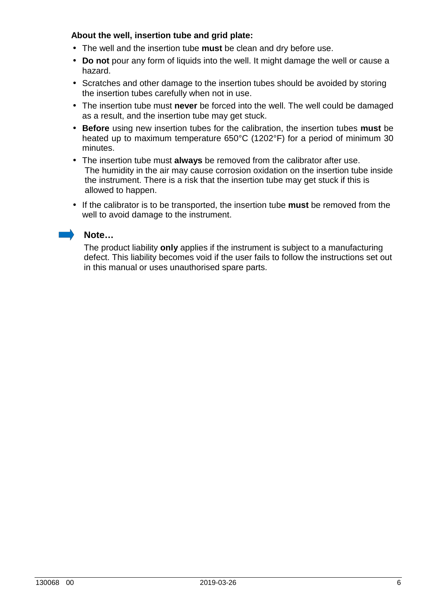#### **About the well, insertion tube and grid plate:**

- The well and the insertion tube **must** be clean and dry before use.
- **Do not** pour any form of liquids into the well. It might damage the well or cause a hazard.
- Scratches and other damage to the insertion tubes should be avoided by storing the insertion tubes carefully when not in use.
- The insertion tube must **never** be forced into the well. The well could be damaged as a result, and the insertion tube may get stuck.
- **Before** using new insertion tubes for the calibration, the insertion tubes **must** be heated up to maximum temperature 650°C (1202°F) for a period of minimum 30 minutes.
- The insertion tube must **always** be removed from the calibrator after use. The humidity in the air may cause corrosion oxidation on the insertion tube inside the instrument. There is a risk that the insertion tube may get stuck if this is allowed to happen.
- If the calibrator is to be transported, the insertion tube **must** be removed from the well to avoid damage to the instrument.

#### **Note…**

The product liability **only** applies if the instrument is subject to a manufacturing defect. This liability becomes void if the user fails to follow the instructions set out in this manual or uses unauthorised spare parts.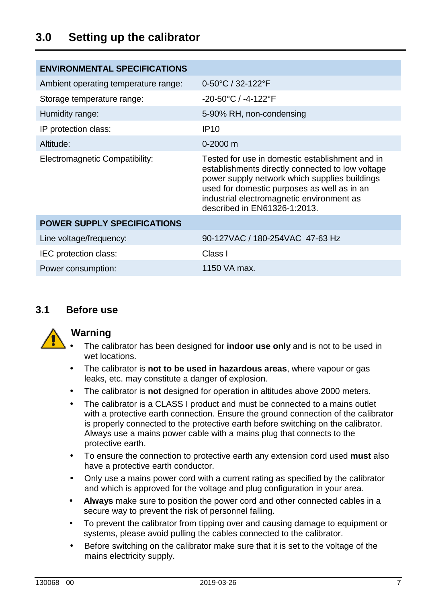## **3.0 Setting up the calibrator**

| <b>ENVIRONMENTAL SPECIFICATIONS</b>  |                                                                                                                                                                                                                                                                                  |
|--------------------------------------|----------------------------------------------------------------------------------------------------------------------------------------------------------------------------------------------------------------------------------------------------------------------------------|
| Ambient operating temperature range: | 0-50°C / 32-122°F                                                                                                                                                                                                                                                                |
| Storage temperature range:           | $-20-50$ °C / $-4-122$ °F                                                                                                                                                                                                                                                        |
| Humidity range:                      | 5-90% RH, non-condensing                                                                                                                                                                                                                                                         |
| IP protection class:                 | <b>IP10</b>                                                                                                                                                                                                                                                                      |
| Altitude:                            | $0 - 2000$ m                                                                                                                                                                                                                                                                     |
| Electromagnetic Compatibility:       | Tested for use in domestic establishment and in<br>establishments directly connected to low voltage<br>power supply network which supplies buildings<br>used for domestic purposes as well as in an<br>industrial electromagnetic environment as<br>described in EN61326-1:2013. |
| <b>POWER SUPPLY SPECIFICATIONS</b>   |                                                                                                                                                                                                                                                                                  |
| Line voltage/frequency:              | 90-127VAC / 180-254VAC 47-63 Hz                                                                                                                                                                                                                                                  |
| IEC protection class:                | Class I                                                                                                                                                                                                                                                                          |
| Power consumption:                   | 1150 VA max.                                                                                                                                                                                                                                                                     |

#### **3.1 Before use**



#### **Warning**

- The calibrator has been designed for **indoor use only** and is not to be used in wet locations.
- The calibrator is **not to be used in hazardous areas**, where vapour or gas leaks, etc. may constitute a danger of explosion.
- The calibrator is **not** designed for operation in altitudes above 2000 meters.
- The calibrator is a CLASS I product and must be connected to a mains outlet with a protective earth connection. Ensure the ground connection of the calibrator is properly connected to the protective earth before switching on the calibrator. Always use a mains power cable with a mains plug that connects to the protective earth.
- To ensure the connection to protective earth any extension cord used **must** also have a protective earth conductor.
- Only use a mains power cord with a current rating as specified by the calibrator and which is approved for the voltage and plug configuration in your area.
- **Always** make sure to position the power cord and other connected cables in a secure way to prevent the risk of personnel falling.
- To prevent the calibrator from tipping over and causing damage to equipment or systems, please avoid pulling the cables connected to the calibrator.
- Before switching on the calibrator make sure that it is set to the voltage of the mains electricity supply.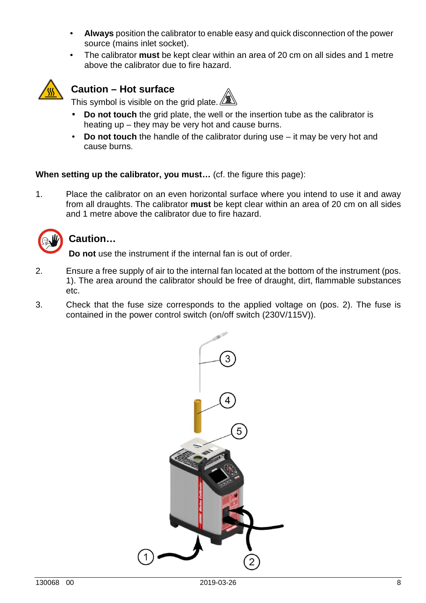- **Always** position the calibrator to enable easy and quick disconnection of the power source (mains inlet socket).
- The calibrator **must** be kept clear within an area of 20 cm on all sides and 1 metre above the calibrator due to fire hazard.



### **Caution – Hot surface**

This symbol is visible on the grid plate.  $\Box$ 

- **Do not touch** the grid plate, the well or the insertion tube as the calibrator is heating up – they may be very hot and cause burns.
- **Do not touch** the handle of the calibrator during use it may be very hot and cause burns.

#### **When setting up the calibrator, you must…** (cf. the figure this page):

1. Place the calibrator on an even horizontal surface where you intend to use it and away from all draughts. The calibrator **must** be kept clear within an area of 20 cm on all sides and 1 metre above the calibrator due to fire hazard.



#### **Caution…**

**Do not** use the instrument if the internal fan is out of order.

- 2. Ensure a free supply of air to the internal fan located at the bottom of the instrument (pos. 1). The area around the calibrator should be free of draught, dirt, flammable substances etc.
- 3. Check that the fuse size corresponds to the applied voltage on (pos. 2). The fuse is contained in the power control switch (on/off switch (230V/115V)).

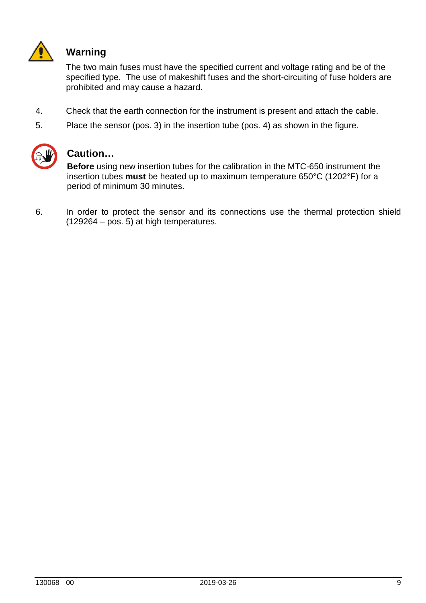

### **Warning**

 The two main fuses must have the specified current and voltage rating and be of the specified type. The use of makeshift fuses and the short-circuiting of fuse holders are prohibited and may cause a hazard.

- 4. Check that the earth connection for the instrument is present and attach the cable.
- 5. Place the sensor (pos. 3) in the insertion tube (pos. 4) as shown in the figure.



### **Caution…**

**Before** using new insertion tubes for the calibration in the MTC-650 instrument the insertion tubes **must** be heated up to maximum temperature 650°C (1202°F) for a period of minimum 30 minutes.

6. In order to protect the sensor and its connections use the thermal protection shield (129264 – pos. 5) at high temperatures.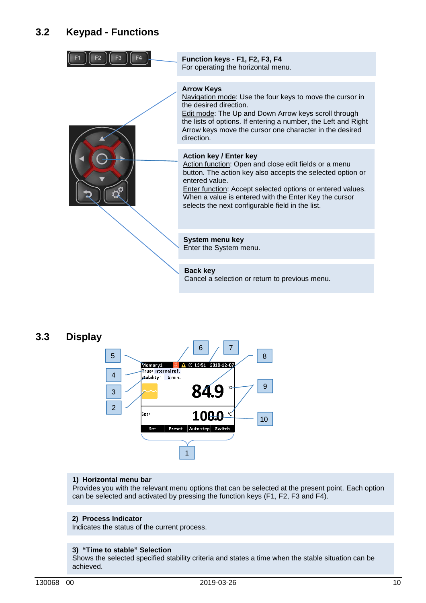| Function keys - F1, F2, F3, F4<br>For operating the horizontal menu.                                                                                                                                                                                                                                                                                    |
|---------------------------------------------------------------------------------------------------------------------------------------------------------------------------------------------------------------------------------------------------------------------------------------------------------------------------------------------------------|
| <b>Arrow Keys</b><br>Navigation mode: Use the four keys to move the cursor in<br>the desired direction.<br><b>Edit mode: The Up and Down Arrow keys scroll through</b><br>the lists of options. If entering a number, the Left and Right<br>Arrow keys move the cursor one character in the desired<br>direction.                                       |
| <b>Action key / Enter key</b><br>Action function: Open and close edit fields or a menu<br>button. The action key also accepts the selected option or<br>entered value<br><b>Enter function: Accept selected options or entered values.</b><br>When a value is entered with the Enter Key the cursor<br>selects the next configurable field in the list. |
| <b>System menu key</b><br>Enter the System menu.                                                                                                                                                                                                                                                                                                        |
| <b>Back key</b><br>Cancel a selection or return to previous menu.                                                                                                                                                                                                                                                                                       |

#### **3.3 Display**



#### **1) Horizontal menu bar**

Provides you with the relevant menu options that can be selected at the present point. Each option can be selected and activated by pressing the function keys (F1, F2, F3 and F4).

#### **2) Process Indicator**

Indicates the status of the current process.

#### **3) "Time to stable" Selection**

Shows the selected specified stability criteria and states a time when the stable situation can be achieved.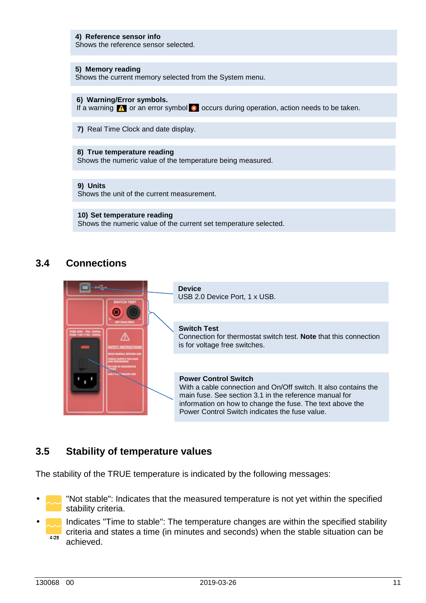#### **4) Reference sensor info**

Shows the reference sensor selected.

#### **5) Memory reading**

Shows the current memory selected from the System menu.

#### **6) Warning/Error symbols.**

If a warning  $\Box$  or an error symbol  $\Box$  occurs during operation, action needs to be taken.

**7)** Real Time Clock and date display.

#### **8) True temperature reading**

Shows the numeric value of the temperature being measured.

#### **9) Units**

Shows the unit of the current measurement.

#### **10) Set temperature reading**

Shows the numeric value of the current set temperature selected.

### **3.4 Connections**



#### **3.5 Stability of temperature values**

The stability of the TRUE temperature is indicated by the following messages:

- "Not stable": Indicates that the measured temperature is not yet within the specified stability criteria.
- Indicates "Time to stable": The temperature changes are within the specified stability criteria and states a time (in minutes and seconds) when the stable situation can be  $4:29$ achieved.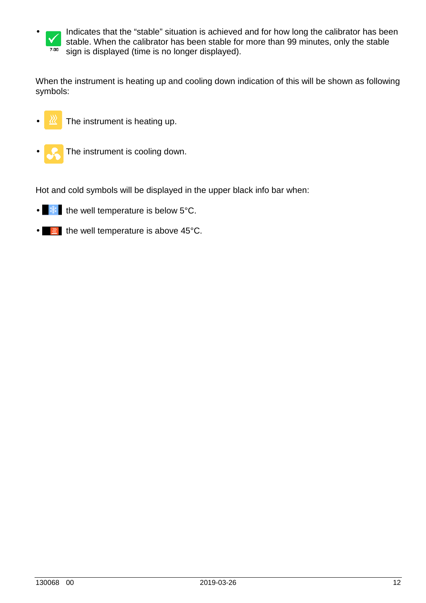

When the instrument is heating up and cooling down indication of this will be shown as following symbols:

- The instrument is heating up.
- The instrument is cooling down.

Hot and cold symbols will be displayed in the upper black info bar when:

- $*$  the well temperature is below 5°C.
- $\bullet$   $\blacksquare$  the well temperature is above 45°C.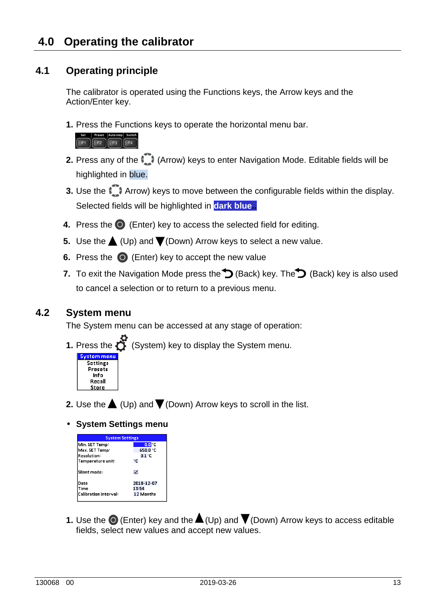### **4.1 Operating principle**

The calibrator is operated using the Functions keys, the Arrow keys and the Action/Enter key.

**1.** Press the Functions keys to operate the horizontal menu bar.



- **2.** Press any of the  $\Box$  (Arrow) keys to enter Navigation Mode. Editable fields will be highlighted in blue.
- **3.** Use the  $\Box$  Arrow) keys to move between the configurable fields within the display. Selected fields will be highlighted in **dark blue..**
- **4.** Press the  $\odot$  (Enter) key to access the selected field for editing.
- **5.** Use the  $\triangle$  (Up) and  $\nabla$  (Down) Arrow keys to select a new value.
- **6.** Press the  $\odot$  (Enter) key to accept the new value
- **7.** To exit the Navigation Mode press the  $\bigcirc$  (Back) key. The  $\bigcirc$  (Back) key is also used to cancel a selection or to return to a previous menu.

### **4.2 System menu**

The System menu can be accessed at any stage of operation:



**1.** Press the  $\bullet$  (System) key to display the System menu.

- **2.** Use the  $\triangle$  (Up) and  $\nabla$  (Down) Arrow keys to scroll in the list.
- **System Settings menu**

| <b>System Settings</b> |                  |  |  |  |  |  |  |
|------------------------|------------------|--|--|--|--|--|--|
| Min. SET Temp          | 0.0 <sub>o</sub> |  |  |  |  |  |  |
| Max. SET Temp:         | 650.0 °C         |  |  |  |  |  |  |
| Resolution:            | 0.1 °C           |  |  |  |  |  |  |
| Temperature unit:      | ۰c               |  |  |  |  |  |  |
| Silent mode:           | ☑                |  |  |  |  |  |  |
| Date                   | 2018-12-07       |  |  |  |  |  |  |
| Time                   | 13:54            |  |  |  |  |  |  |
| Calibration interval : | <b>12 Months</b> |  |  |  |  |  |  |
|                        |                  |  |  |  |  |  |  |

**1.** Use the  $\odot$  (Enter) key and the  $\triangle$  (Up) and  $\nabla$  (Down) Arrow keys to access editable fields, select new values and accept new values.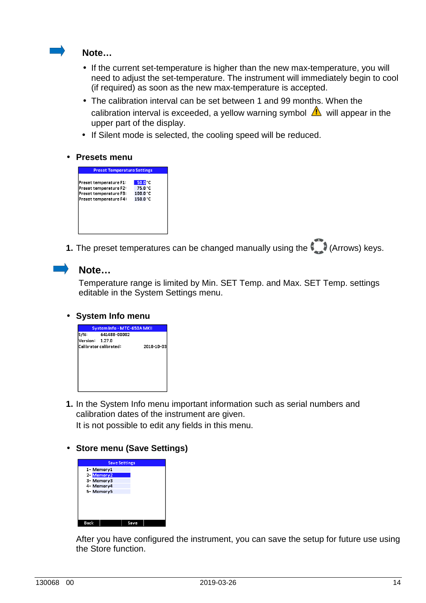

#### **Note…**

- If the current set-temperature is higher than the new max-temperature, you will need to adjust the set-temperature. The instrument will immediately begin to cool (if required) as soon as the new max-temperature is accepted.
- The calibration interval can be set between 1 and 99 months. When the calibration interval is exceeded, a yellow warning symbol  $\triangle$  will appear in the upper part of the display.
- If Silent mode is selected, the cooling speed will be reduced.
- **Presets menu**

| <b>Preset Temperature Settings</b> |                     |  |  |  |  |  |  |
|------------------------------------|---------------------|--|--|--|--|--|--|
|                                    |                     |  |  |  |  |  |  |
| Preset temperature F1:             | 50.0 <sup>o</sup> C |  |  |  |  |  |  |
| Preset temperature F2:             | 75.0°C              |  |  |  |  |  |  |
| Preset temperature F3:             | $100.0\,^{\circ}$ C |  |  |  |  |  |  |
| Preset temperature F4:             | $150.0\degree$ C    |  |  |  |  |  |  |
|                                    |                     |  |  |  |  |  |  |
|                                    |                     |  |  |  |  |  |  |
|                                    |                     |  |  |  |  |  |  |
|                                    |                     |  |  |  |  |  |  |
|                                    |                     |  |  |  |  |  |  |
|                                    |                     |  |  |  |  |  |  |

**1.** The preset temperatures can be changed manually using the (Arrows) keys.



#### **Note…**

Temperature range is limited by Min. SET Temp. and Max. SET Temp. settings editable in the System Settings menu.

#### • **System Info menu**



**1.** In the System Info menu important information such as serial numbers and calibration dates of the instrument are given. It is not possible to edit any fields in this menu.

#### • **Store menu (Save Settings)**

|            | <b>Save Settings</b> |      |  |
|------------|----------------------|------|--|
| 1- Memory1 |                      |      |  |
| 2 Memory2  |                      |      |  |
| 3- Memory3 |                      |      |  |
| 4- Memory4 |                      |      |  |
| 5-Memory5  |                      |      |  |
|            |                      |      |  |
|            |                      |      |  |
|            |                      |      |  |
|            |                      |      |  |
|            |                      |      |  |
| Back       |                      | Save |  |

After you have configured the instrument, you can save the setup for future use using the Store function.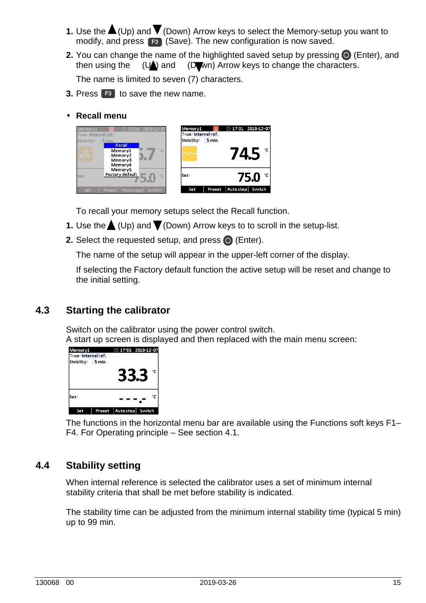- **1.** Use the  $\triangle$  (Up) and  $\triangledown$  (Down) Arrow keys to select the Memory-setup you want to modify, and press **F3** (Save). The new configuration is now saved.
- **2.** You can change the name of the highlighted saved setup by pressing  $\bullet$  (Enter), and then using the  $(U_{\bullet})$  and  $(U_{\bullet})$  Arrow keys to change the characters.

The name is limited to seven (7) characters.

- **3.** Press **F3** to save the new name.
- **Recall menu**



To recall your memory setups select the Recall function.

- **1.** Use the  $\triangle$  (Up) and  $\triangledown$  (Down) Arrow keys to to scroll in the setup-list.
- **2.** Select the requested setup, and press  $\odot$  (Enter).

The name of the setup will appear in the upper-left corner of the display.

If selecting the Factory default function the active setup will be reset and change to the initial setting.

### **4.3 Starting the calibrator**

Switch on the calibrator using the power control switch.

A start up screen is displayed and then replaced with the main menu screen:



The functions in the horizontal menu bar are available using the Functions soft keys F1– F4. For Operating principle – See section 4.1.

### **4.4 Stability setting**

 When internal reference is selected the calibrator uses a set of minimum internal stability criteria that shall be met before stability is indicated.

The stability time can be adjusted from the minimum internal stability time (typical 5 min) up to 99 min.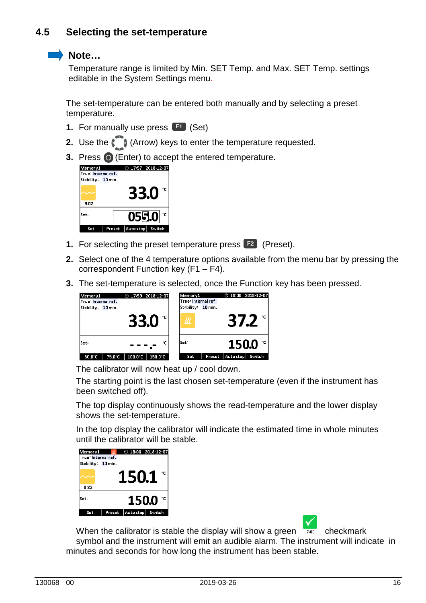### **Note…**

Temperature range is limited by Min. SET Temp. and Max. SET Temp. settings editable in the System Settings menu.

The set-temperature can be entered both manually and by selecting a preset temperature.

- **1.** For manually use press **F1** (Set)
- **2.** Use the ( $\bigcirc$  (Arrow) keys to enter the temperature requested.
- **3.** Press  $\odot$  (Enter) to accept the entered temperature.

| Memory1<br>True: Internal ref. |        | $O$ 17:57 2018-12-07 |              |
|--------------------------------|--------|----------------------|--------------|
| Stability: 10 min.             |        |                      |              |
| 9:02                           |        | 33.0                 | $^{\circ}$ C |
| Set:                           |        | 055.0                | ۰c           |
| Set                            | Preset | Auto step   Switch   |              |

- **1.** For selecting the preset temperature press **F2** (Preset).
- **2.** Select one of the 4 temperature options available from the menu bar by pressing the correspondent Function key (F1 – F4).
- **3.** The set-temperature is selected, once the Function key has been pressed.

| Memorv1<br>True: Internal ref.<br>Stability 10 min. |        |             | $\odot$ 17:59 2018-12-07 | Memory1<br>True: Internal ref.<br>Stability: 10 min. |        |           | $②$ 18:00 2018-12-07 |
|-----------------------------------------------------|--------|-------------|--------------------------|------------------------------------------------------|--------|-----------|----------------------|
|                                                     |        | <b>33.0</b> |                          | 涩                                                    |        | 37.Z      |                      |
| lSet:                                               |        |             | ۰c                       | lSet:                                                |        |           | $150.0 \degree$      |
| 50.0°C                                              | 75.0°C | 100.0°C     | $150.0^{\circ}$ C        | Set                                                  | Preset | Auto step | Switch               |

The calibrator will now heat up / cool down.

The starting point is the last chosen set-temperature (even if the instrument has been switched off).

 The top display continuously shows the read-temperature and the lower display shows the set-temperature.

 In the top display the calibrator will indicate the estimated time in whole minutes until the calibrator will be stable.

| Memory1<br>True: Internal ref. | R      | $②$ 18:06 2018-12-07 |        |
|--------------------------------|--------|----------------------|--------|
| Stability: 10 min.             |        |                      |        |
|                                |        | 150.1                | ۰c     |
| 8:32                           |        |                      |        |
| Set:                           |        | 150.0                | ۰c     |
| Set                            | Preset | Auto step            | Switch |

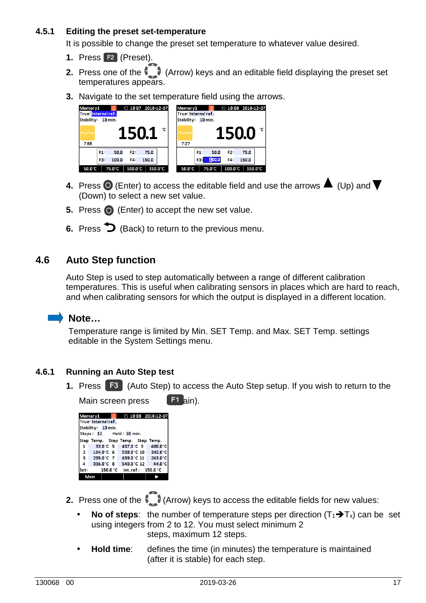#### **4.5.1 Editing the preset set-temperature**

It is possible to change the preset set temperature to whatever value desired.

- **1.** Press **F2** (Preset).
- **2.** Press one of the (Arrow) keys and an editable field displaying the preset set temperatures appears.
- 



- **4.** Press  $\odot$  (Enter) to access the editable field and use the arrows  $\blacktriangle$  (Up) and  $\nabla$ (Down) to select a new set value.
- **5.** Press  $\bigcirc$  (Enter) to accept the new set value.
- **6.** Press  $\triangleright$  (Back) to return to the previous menu.

#### **4.6 Auto Step function**

Auto Step is used to step automatically between a range of different calibration temperatures. This is useful when calibrating sensors in places which are hard to reach, and when calibrating sensors for which the output is displayed in a different location.

### **Note…**

Temperature range is limited by Min. SET Temp. and Max. SET Temp. settings editable in the System Settings menu.

#### **4.6.1 Running an Auto Step test**

**1.** Press **F3** (Auto Step) to access the Auto Step setup. If you wish to return to the

| Main screen press   |  | $F1$ ain). |                                             |                                                              |  |
|---------------------|--|------------|---------------------------------------------|--------------------------------------------------------------|--|
| Memory1             |  | ℛ          |                                             | $①$ 18:08 2018-12-07                                         |  |
| True: Internal ref. |  |            |                                             |                                                              |  |
| Stability 10 min.   |  |            |                                             |                                                              |  |
|                     |  |            |                                             |                                                              |  |
|                     |  |            | Step Temp. Step Temp. Step Temp.            |                                                              |  |
| 1                   |  |            |                                             | 33.0°C 5 437.0°C 9 400.0°C                                   |  |
| 2 <sup>1</sup>      |  |            |                                             | $134.0^{\circ}$ C 6 538.0 $^{\circ}$ C 10 342.0 $^{\circ}$ C |  |
| 3 <sup>o</sup>      |  |            |                                             | 235.0°C 7 639.0°C 11 243.0°C                                 |  |
| $\overline{a}$      |  |            |                                             | 336.0°C 8 540.0°C 12 44.0°C                                  |  |
| Set:                |  |            | $150.0\degree$ C Int.ref.: $150.0\degree$ C |                                                              |  |
| Main                |  |            |                                             |                                                              |  |

- **2.** Press one of the (Arrow) keys to access the editable fields for new values:
	- **No of steps**: the number of temperature steps per direction  $(T_1 \rightarrow T_x)$  can be set using integers from 2 to 12. You must select minimum 2 steps, maximum 12 steps.
	- **Hold time:** defines the time (in minutes) the temperature is maintained (after it is stable) for each step.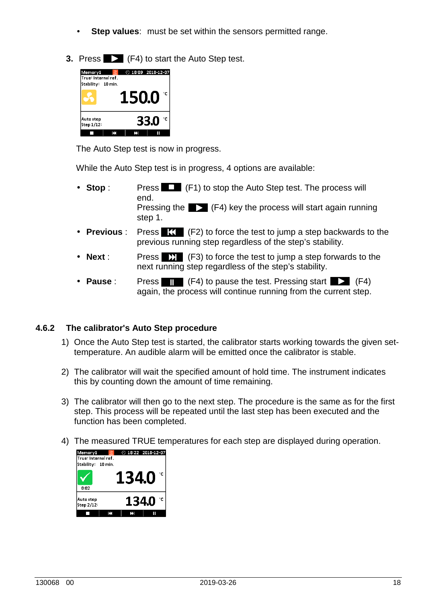- **Step values:** must be set within the sensors permitted range.
- **3. Press 2 (F4) to start the Auto Step test.**

| Memory1<br>True: Internal ref. | $\mathbb{R}$ | $O$ 18:09 2018-12-07 |      |    |
|--------------------------------|--------------|----------------------|------|----|
| Stability: 10 min.             |              |                      |      |    |
|                                |              | 150.0                |      | ۰c |
| Auto step<br>Step 1/12:        |              |                      | 33.0 | ۰c |
|                                | м            |                      |      |    |

The Auto Step test is now in progress.

While the Auto Step test is in progress, 4 options are available:

- **Stop** : Press  $\Box$  (F1) to stop the Auto Step test. The process will end. Pressing the  $\blacktriangleright$  (F4) key the process will start again running step 1.
- **Previous** : Press  $\mathbf{K}$  (F2) to force the test to jump a step backwards to the previous running step regardless of the step's stability.
- **Next** : Press  $\Sigma$  (F3) to force the test to jump a step forwards to the next running step regardless of the step's stability.
- **Pause** : Press **(F4)** to pause the test. Pressing start **(F4)** (F4) again, the process will continue running from the current step.

#### **4.6.2 The calibrator's Auto Step procedure**

- 1) Once the Auto Step test is started, the calibrator starts working towards the given settemperature. An audible alarm will be emitted once the calibrator is stable.
- 2) The calibrator will wait the specified amount of hold time. The instrument indicates this by counting down the amount of time remaining.
- 3) The calibrator will then go to the next step. The procedure is the same as for the first step. This process will be repeated until the last step has been executed and the function has been completed.
- 4) The measured TRUE temperatures for each step are displayed during operation.

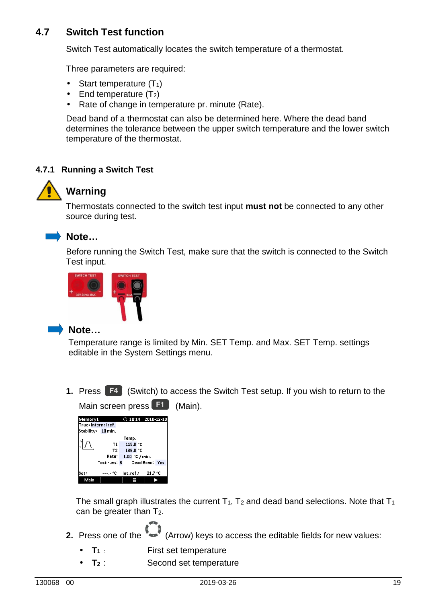### **4.7 Switch Test function**

Switch Test automatically locates the switch temperature of a thermostat.

Three parameters are required:

- Start temperature  $(T_1)$
- End temperature  $(T_2)$
- Rate of change in temperature pr. minute (Rate).

Dead band of a thermostat can also be determined here. Where the dead band determines the tolerance between the upper switch temperature and the lower switch temperature of the thermostat.

#### **4.7.1 Running a Switch Test**



### **Warning**

 Thermostats connected to the switch test input **must not** be connected to any other source during test.



### **Note…**

 Before running the Switch Test, make sure that the switch is connected to the Switch Test input.



### **Note…**

Temperature range is limited by Min. SET Temp. and Max. SET Temp. settings editable in the System Settings menu.

**1.** Press **F4** (Switch) to access the Switch Test setup. If you wish to return to the Main screen press **F1** (Main).

| Memory1             |              |                | $①$ 10:14 2018-12-10 |
|---------------------|--------------|----------------|----------------------|
| True: Internal ref. |              |                |                      |
| Stability:          | $10$ min.    |                |                      |
|                     |              | Temp.          |                      |
|                     | Т1           | 115.0 °C       |                      |
|                     | T2           | 135.0 °C       |                      |
|                     | Rate:        | 1.00 °C / min. |                      |
|                     | Test runs: 3 |                | Dead Band: Yes       |
|                     |              |                |                      |
| Set:                |              |                | $-21.7\degree$ C     |
| Main                |              |                |                      |

The small graph illustrates the current  $T_1$ ,  $T_2$  and dead band selections. Note that  $T_1$ can be greater than T2.

- **2.** Press one of the (Arrow) keys to access the editable fields for new values:
	- **T<sub>1</sub>**: First set temperature
	- **T<sub>2</sub>**: Second set temperature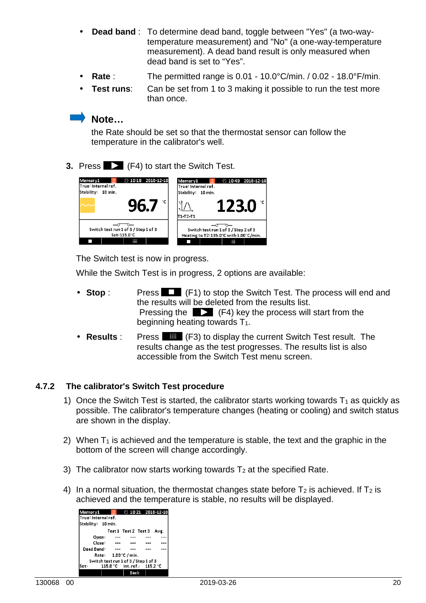- **Dead band** : To determine dead band, toggle between "Yes" (a two-way temperature measurement) and "No" (a one-way-temperature measurement). A dead band result is only measured when dead band is set to "Yes".
- **Rate** : The permitted range is 0.01 10.0°C/min. / 0.02 18.0°F/min.
- **Test runs:** Can be set from 1 to 3 making it possible to run the test more than once.

#### **Note…**

the Rate should be set so that the thermostat sensor can follow the temperature in the calibrator's well.

**3.** Press **2** (F4) to start the Switch Test.

| $0.1018$ 2018-12-10                  | $\mathbb{R}^2$                         |  |  |
|--------------------------------------|----------------------------------------|--|--|
| ӝ                                    | $0$ 10:40 2018-12-10                   |  |  |
| Memory1                              | Memor <sub>v1</sub>                    |  |  |
| True: Internal ref.                  | True: Internal ref.                    |  |  |
| Stability: 10 min.                   | Stability: 10 min.                     |  |  |
| °C                                   | 123.0                                  |  |  |
| Yb./                                 | T1+T2+T1                               |  |  |
| Switch test run 1 of 3 / Step 1 of 3 | Switch test run 1 of 3 / Step 2 of 3   |  |  |
| Set: 115.0°C                         | Heating to T2:135.0°C with 1.00°C/min. |  |  |
| ₩                                    | ₩                                      |  |  |

The Switch test is now in progress.

While the Switch Test is in progress, 2 options are available:

- **Stop** : Press  $\Box$  (F1) to stop the Switch Test. The process will end and the results will be deleted from the results list. Pressing the  $\Box$  (F4) key the process will start from the beginning heating towards  $T_1$ .
- Results : Press **(F3)** to display the current Switch Test result. The results change as the test progresses. The results list is also accessible from the Switch Test menu screen.

#### **4.7.2 The calibrator's Switch Test procedure**

- 1) Once the Switch Test is started, the calibrator starts working towards  $T_1$  as quickly as possible. The calibrator's temperature changes (heating or cooling) and switch status are shown in the display.
- 2) When  $T_1$  is achieved and the temperature is stable, the text and the graphic in the bottom of the screen will change accordingly.
- 3) The calibrator now starts working towards  $T_2$  at the specified Rate.
- 4) In a normal situation, the thermostat changes state before  $T_2$  is achieved. If  $T_2$  is achieved and the temperature is stable, no results will be displayed.

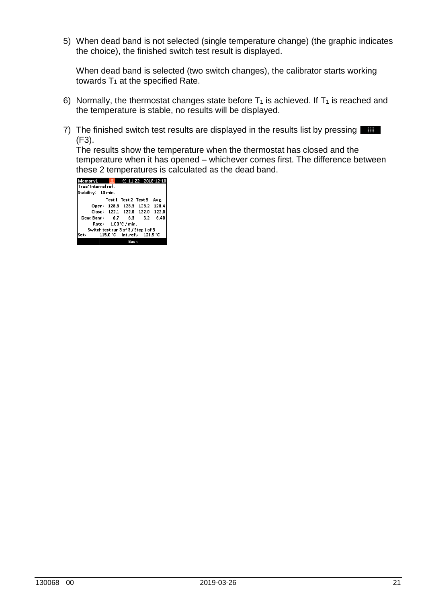5) When dead band is not selected (single temperature change) (the graphic indicates the choice), the finished switch test result is displayed.

When dead band is selected (two switch changes), the calibrator starts working towards  $T_1$  at the specified Rate.

- 6) Normally, the thermostat changes state before  $T_1$  is achieved. If  $T_1$  is reached and the temperature is stable, no results will be displayed.
- 7) The finished switch test results are displayed in the results list by pressing **1.** (F3).

The results show the temperature when the thermostat has closed and the temperature when it has opened – whichever comes first. The difference between these 2 temperatures is calculated as the dead band.

| $\mathbb{R}$                         |  |                | $①$ 11:22 2018-12-10                                                                  |  |  |
|--------------------------------------|--|----------------|---------------------------------------------------------------------------------------|--|--|
| True: Internal ref.                  |  |                |                                                                                       |  |  |
| Stability: 10 min.                   |  |                |                                                                                       |  |  |
|                                      |  |                | Avg.                                                                                  |  |  |
|                                      |  |                | 128.4                                                                                 |  |  |
|                                      |  |                | 122.0                                                                                 |  |  |
|                                      |  |                | 6.40                                                                                  |  |  |
| Rate: 1.00 °C / min.                 |  |                |                                                                                       |  |  |
| Switch test run 3 of 3 / Step 1 of 3 |  |                |                                                                                       |  |  |
| 115.0 °C lnt.ref.: 121.9 °C<br>lSet: |  |                |                                                                                       |  |  |
|                                      |  |                |                                                                                       |  |  |
|                                      |  | Dead Band: 6.7 | Test1 Test2 Test3<br>128.8 128.3 128.2<br>Close: 122.1 122.0 122.0<br>6.3 6.2<br>Back |  |  |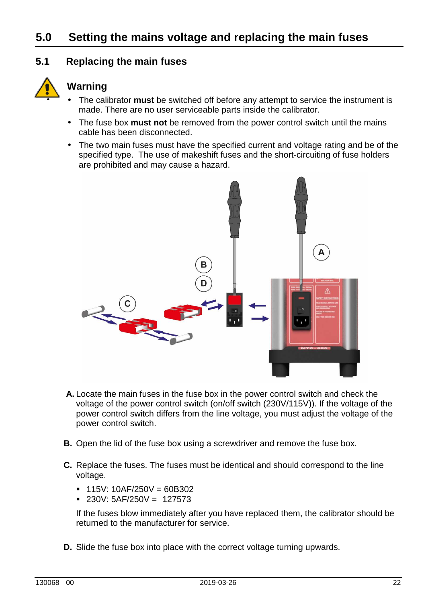# **5.0 Setting the mains voltage and replacing the main fuses**

### **5.1 Replacing the main fuses**



### **Warning**

- The calibrator **must** be switched off before any attempt to service the instrument is made. There are no user serviceable parts inside the calibrator.
- The fuse box **must not** be removed from the power control switch until the mains cable has been disconnected.
- The two main fuses must have the specified current and voltage rating and be of the specified type. The use of makeshift fuses and the short-circuiting of fuse holders are prohibited and may cause a hazard.



- **A.** Locate the main fuses in the fuse box in the power control switch and check the voltage of the power control switch (on/off switch (230V/115V)). If the voltage of the power control switch differs from the line voltage, you must adjust the voltage of the power control switch.
- **B.** Open the lid of the fuse box using a screwdriver and remove the fuse box.
- **C.** Replace the fuses. The fuses must be identical and should correspond to the line voltage.
	- $\blacksquare$  115V: 10AF/250V = 60B302
	- $\blacksquare$  230V: 5AF/250V = 127573

If the fuses blow immediately after you have replaced them, the calibrator should be returned to the manufacturer for service.

**D.** Slide the fuse box into place with the correct voltage turning upwards.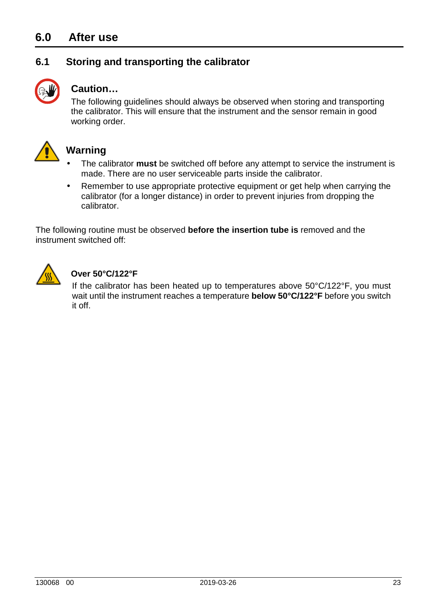## **6.0 After use**

### **6.1 Storing and transporting the calibrator**



### **Caution…**

The following guidelines should always be observed when storing and transporting the calibrator. This will ensure that the instrument and the sensor remain in good working order.



### **Warning**

- The calibrator **must** be switched off before any attempt to service the instrument is made. There are no user serviceable parts inside the calibrator.
- Remember to use appropriate protective equipment or get help when carrying the calibrator (for a longer distance) in order to prevent injuries from dropping the calibrator.

The following routine must be observed **before the insertion tube is** removed and the instrument switched off:



### **Over 50°C/122°F**

If the calibrator has been heated up to temperatures above 50°C/122°F, you must wait until the instrument reaches a temperature **below 50°C/122°F** before you switch it off.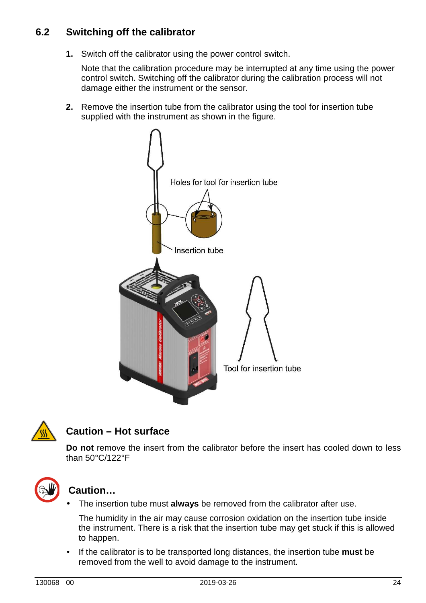**1.** Switch off the calibrator using the power control switch.

 Note that the calibration procedure may be interrupted at any time using the power control switch. Switching off the calibrator during the calibration process will not damage either the instrument or the sensor.

**2.** Remove the insertion tube from the calibrator using the tool for insertion tube supplied with the instrument as shown in the figure.





### **Caution – Hot surface**

 **Do not** remove the insert from the calibrator before the insert has cooled down to less than 50°C/122°F



### **Caution…**

• The insertion tube must **always** be removed from the calibrator after use.

 The humidity in the air may cause corrosion oxidation on the insertion tube inside the instrument. There is a risk that the insertion tube may get stuck if this is allowed to happen.

• If the calibrator is to be transported long distances, the insertion tube **must** be removed from the well to avoid damage to the instrument.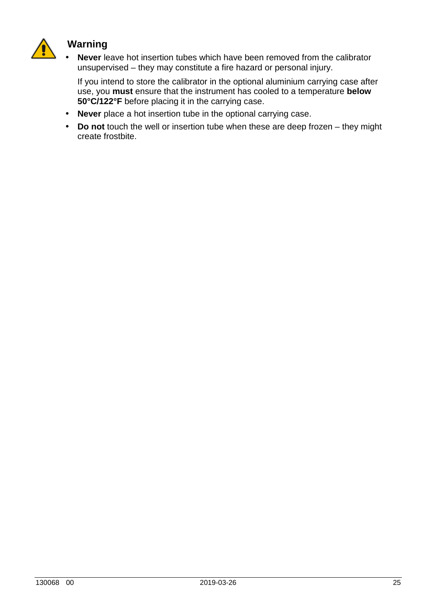

### **Warning**

• **Never** leave hot insertion tubes which have been removed from the calibrator unsupervised – they may constitute a fire hazard or personal injury.

If you intend to store the calibrator in the optional aluminium carrying case after use, you **must** ensure that the instrument has cooled to a temperature **below 50°C/122°F** before placing it in the carrying case.

- **Never** place a hot insertion tube in the optional carrying case.
- **Do not** touch the well or insertion tube when these are deep frozen they might create frostbite.